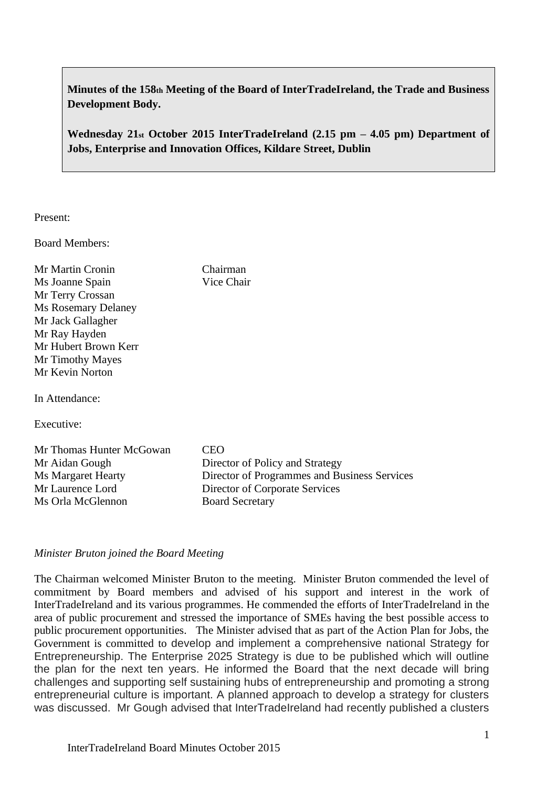**Minutes of the 158th Meeting of the Board of InterTradeIreland, the Trade and Business Development Body.**

**Wednesday 21st October 2015 InterTradeIreland (2.15 pm – 4.05 pm) Department of Jobs, Enterprise and Innovation Offices, Kildare Street, Dublin**

Present:

Board Members:

Mr Martin Cronin Chairman Ms Joanne Spain Vice Chair Mr Terry Crossan Ms Rosemary Delaney Mr Jack Gallagher Mr Ray Hayden Mr Hubert Brown Kerr Mr Timothy Mayes Mr Kevin Norton

In Attendance:

Executive:

Mr Thomas Hunter McGowan CEO Mr Aidan Gough Director of Policy and Strategy Ms Margaret Hearty Director of Programmes and Business Services Mr Laurence Lord Director of Corporate Services Ms Orla McGlennon Board Secretary

# *Minister Bruton joined the Board Meeting*

The Chairman welcomed Minister Bruton to the meeting. Minister Bruton commended the level of commitment by Board members and advised of his support and interest in the work of InterTradeIreland and its various programmes. He commended the efforts of InterTradeIreland in the area of public procurement and stressed the importance of SMEs having the best possible access to public procurement opportunities. The Minister advised that as part of the Action Plan for Jobs, the Government is committed to develop and implement a comprehensive national Strategy for Entrepreneurship. The Enterprise 2025 Strategy is due to be published which will outline the plan for the next ten years. He informed the Board that the next decade will bring challenges and supporting self sustaining hubs of entrepreneurship and promoting a strong entrepreneurial culture is important. A planned approach to develop a strategy for clusters was discussed. Mr Gough advised that InterTradeIreland had recently published a clusters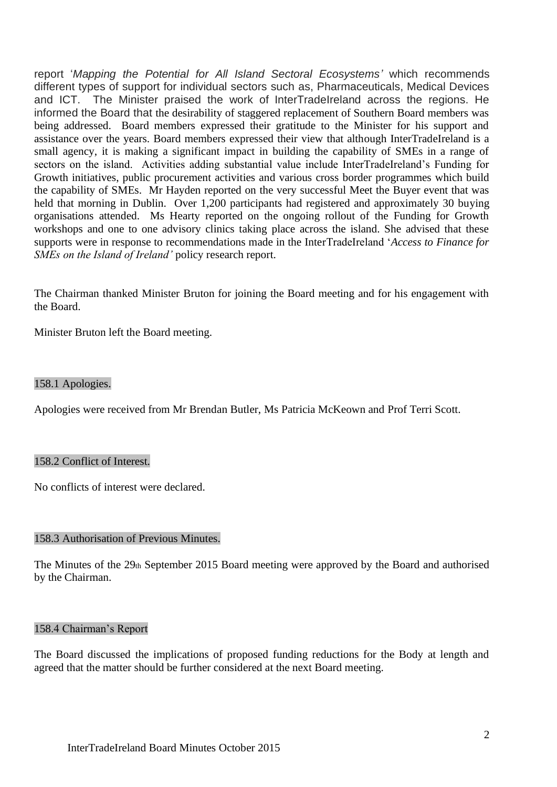report '*Mapping the Potential for All Island Sectoral Ecosystems'* which recommends different types of support for individual sectors such as, Pharmaceuticals, Medical Devices and ICT. The Minister praised the work of InterTradeIreland across the regions. He informed the Board that the desirability of staggered replacement of Southern Board members was being addressed. Board members expressed their gratitude to the Minister for his support and assistance over the years. Board members expressed their view that although InterTradeIreland is a small agency, it is making a significant impact in building the capability of SMEs in a range of sectors on the island. Activities adding substantial value include InterTradeIreland's Funding for Growth initiatives, public procurement activities and various cross border programmes which build the capability of SMEs. Mr Hayden reported on the very successful Meet the Buyer event that was held that morning in Dublin. Over 1,200 participants had registered and approximately 30 buying organisations attended. Ms Hearty reported on the ongoing rollout of the Funding for Growth workshops and one to one advisory clinics taking place across the island. She advised that these supports were in response to recommendations made in the InterTradeIreland '*Access to Finance for SMEs on the Island of Ireland'* policy research report.

The Chairman thanked Minister Bruton for joining the Board meeting and for his engagement with the Board.

Minister Bruton left the Board meeting.

## 158.1 Apologies.

Apologies were received from Mr Brendan Butler, Ms Patricia McKeown and Prof Terri Scott.

### 158.2 Conflict of Interest.

No conflicts of interest were declared.

#### 158.3 Authorisation of Previous Minutes.

The Minutes of the 29th September 2015 Board meeting were approved by the Board and authorised by the Chairman.

## 158.4 Chairman's Report

The Board discussed the implications of proposed funding reductions for the Body at length and agreed that the matter should be further considered at the next Board meeting.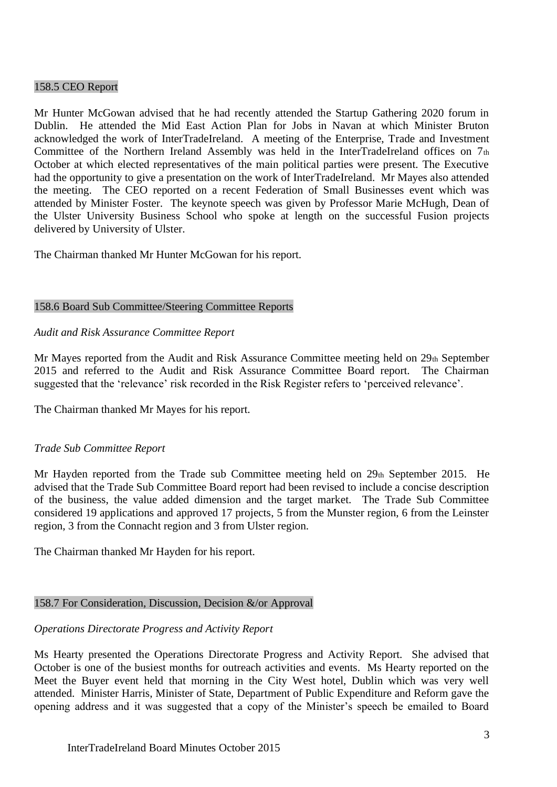### 158.5 CEO Report

Mr Hunter McGowan advised that he had recently attended the Startup Gathering 2020 forum in Dublin. He attended the Mid East Action Plan for Jobs in Navan at which Minister Bruton acknowledged the work of InterTradeIreland. A meeting of the Enterprise, Trade and Investment Committee of the Northern Ireland Assembly was held in the InterTradeIreland offices on 7th October at which elected representatives of the main political parties were present. The Executive had the opportunity to give a presentation on the work of InterTradeIreland. Mr Mayes also attended the meeting. The CEO reported on a recent Federation of Small Businesses event which was attended by Minister Foster. The keynote speech was given by Professor Marie McHugh, Dean of the Ulster University Business School who spoke at length on the successful Fusion projects delivered by University of Ulster.

The Chairman thanked Mr Hunter McGowan for his report.

## 158.6 Board Sub Committee/Steering Committee Reports

### *Audit and Risk Assurance Committee Report*

Mr Mayes reported from the Audit and Risk Assurance Committee meeting held on 29th September 2015 and referred to the Audit and Risk Assurance Committee Board report. The Chairman suggested that the 'relevance' risk recorded in the Risk Register refers to 'perceived relevance'.

The Chairman thanked Mr Mayes for his report.

## *Trade Sub Committee Report*

Mr Hayden reported from the Trade sub Committee meeting held on  $29<sub>th</sub>$  September 2015. He advised that the Trade Sub Committee Board report had been revised to include a concise description of the business, the value added dimension and the target market. The Trade Sub Committee considered 19 applications and approved 17 projects, 5 from the Munster region, 6 from the Leinster region, 3 from the Connacht region and 3 from Ulster region.

The Chairman thanked Mr Hayden for his report.

#### 158.7 For Consideration, Discussion, Decision &/or Approval

## *Operations Directorate Progress and Activity Report*

Ms Hearty presented the Operations Directorate Progress and Activity Report. She advised that October is one of the busiest months for outreach activities and events. Ms Hearty reported on the Meet the Buyer event held that morning in the City West hotel, Dublin which was very well attended. Minister Harris, Minister of State, Department of Public Expenditure and Reform gave the opening address and it was suggested that a copy of the Minister's speech be emailed to Board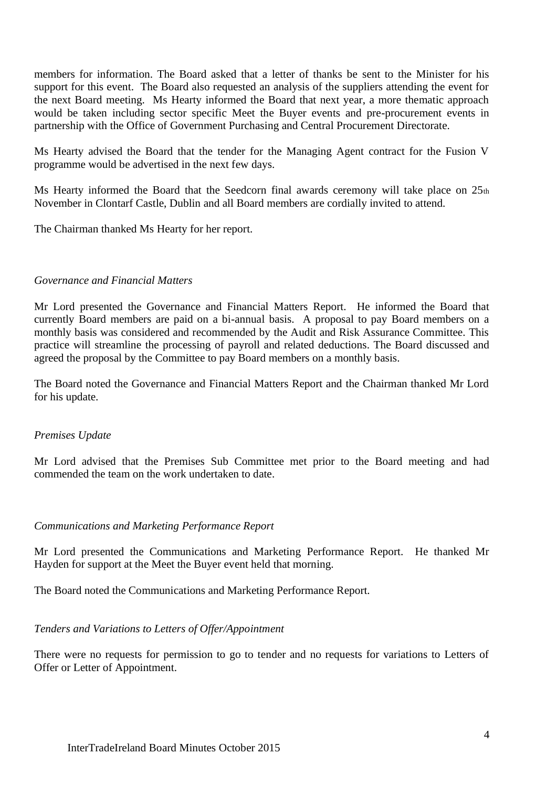members for information. The Board asked that a letter of thanks be sent to the Minister for his support for this event. The Board also requested an analysis of the suppliers attending the event for the next Board meeting. Ms Hearty informed the Board that next year, a more thematic approach would be taken including sector specific Meet the Buyer events and pre-procurement events in partnership with the Office of Government Purchasing and Central Procurement Directorate.

Ms Hearty advised the Board that the tender for the Managing Agent contract for the Fusion V programme would be advertised in the next few days.

Ms Hearty informed the Board that the Seedcorn final awards ceremony will take place on  $25<sub>th</sub>$ November in Clontarf Castle, Dublin and all Board members are cordially invited to attend.

The Chairman thanked Ms Hearty for her report.

# *Governance and Financial Matters*

Mr Lord presented the Governance and Financial Matters Report. He informed the Board that currently Board members are paid on a bi-annual basis. A proposal to pay Board members on a monthly basis was considered and recommended by the Audit and Risk Assurance Committee. This practice will streamline the processing of payroll and related deductions. The Board discussed and agreed the proposal by the Committee to pay Board members on a monthly basis.

The Board noted the Governance and Financial Matters Report and the Chairman thanked Mr Lord for his update.

## *Premises Update*

Mr Lord advised that the Premises Sub Committee met prior to the Board meeting and had commended the team on the work undertaken to date.

## *Communications and Marketing Performance Report*

Mr Lord presented the Communications and Marketing Performance Report. He thanked Mr Hayden for support at the Meet the Buyer event held that morning.

The Board noted the Communications and Marketing Performance Report.

## *Tenders and Variations to Letters of Offer/Appointment*

There were no requests for permission to go to tender and no requests for variations to Letters of Offer or Letter of Appointment.